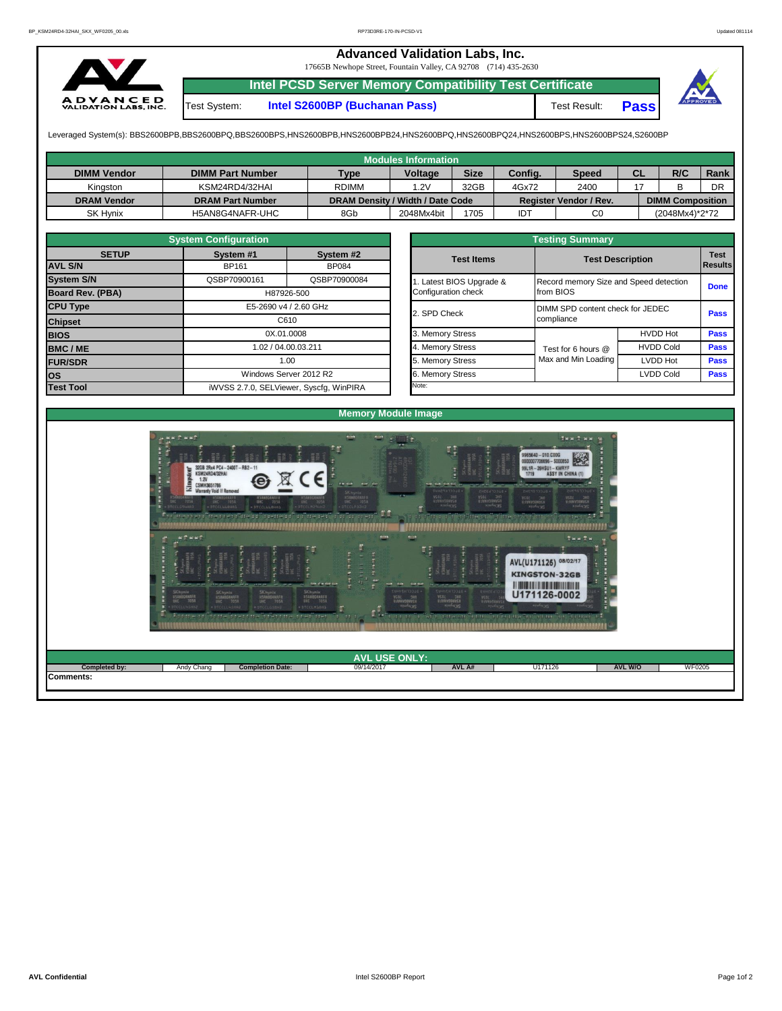## **Advanced Validation Labs, Inc.**

17665B Newhope Street, Fountain Valley, CA 92708 (714) 435-2630



**Intel PCSD Server Memory Compatibility Test Certificate**

Test System: **Intel S2600BP (Buchanan Pass)** Test Result: **Pass**



Leveraged System(s): BBS2600BPB,BBS2600BPQ,BBS2600BPS,HNS2600BPB,HNS2600BPB24,HNS2600BPQ,HNS2600BPQ24,HNS2600BPS,HNS2600BPS24,S2600BP

|                    |                         |              | <b>Modules Information</b>       |             |            |                        |           |                         |      |
|--------------------|-------------------------|--------------|----------------------------------|-------------|------------|------------------------|-----------|-------------------------|------|
| <b>DIMM Vendor</b> | <b>DIMM Part Number</b> | <b>Type</b>  | <b>Voltage</b>                   | <b>Size</b> | Config.    | <b>Speed</b>           | <b>CL</b> | R/C                     | Rank |
| Kinaston           | KSM24RD4/32HAI          | <b>RDIMM</b> | .2V                              | 32GB        | 4Gx72      | 2400                   |           |                         | DR   |
| <b>DRAM Vendor</b> | <b>DRAM Part Number</b> |              | DRAM Density / Width / Date Code |             |            | Register Vendor / Rev. |           | <b>DIMM Composition</b> |      |
| SK Hynix           | H5AN8G4NAFR-UHC         | 8Gb          | 2048Mx4bit                       | 1705        | <b>IDT</b> | C0                     |           | (2048Mx4)*2*72          |      |

|                   | <b>System Configuration</b>                       |                                         |  | <b>Testing Summary</b>  |                                        |                  |                        |  |  |  |  |  |  |
|-------------------|---------------------------------------------------|-----------------------------------------|--|-------------------------|----------------------------------------|------------------|------------------------|--|--|--|--|--|--|
| <b>SETUP</b>      | System #1                                         | System #2                               |  | <b>Test Items</b>       | <b>Test Description</b>                |                  | <b>Test</b><br>Results |  |  |  |  |  |  |
| <b>AVL S/N</b>    | BP161<br><b>BP084</b>                             |                                         |  |                         |                                        |                  |                        |  |  |  |  |  |  |
| <b>System S/N</b> | QSBP70900161                                      | QSBP70900084                            |  | . Latest BIOS Upgrade & | Record memory Size and Speed detection |                  |                        |  |  |  |  |  |  |
| Board Rev. (PBA)  | H87926-500                                        |                                         |  | Configuration check     | from BIOS                              | <b>Done</b>      |                        |  |  |  |  |  |  |
| <b>CPU Type</b>   |                                                   | E5-2690 v4 / 2.60 GHz                   |  | 2. SPD Check            | DIMM SPD content check for JEDEC       |                  |                        |  |  |  |  |  |  |
| <b>Chipset</b>    | C610<br>0X.01.0008<br>1.02 / 04.00.03.211<br>1.00 |                                         |  |                         | compliance                             |                  |                        |  |  |  |  |  |  |
| <b>BIOS</b>       |                                                   |                                         |  | 3. Memory Stress        |                                        | <b>HVDD Hot</b>  | <b>Pass</b>            |  |  |  |  |  |  |
| <b>BMC/ME</b>     |                                                   |                                         |  | 4. Memory Stress        | Test for 6 hours @                     | <b>HVDD Cold</b> | <b>Pass</b>            |  |  |  |  |  |  |
| <b>FUR/SDR</b>    |                                                   |                                         |  | 5. Memory Stress        | Max and Min Loading                    | <b>LVDD Hot</b>  | <b>Pass</b>            |  |  |  |  |  |  |
| <b>OS</b>         |                                                   | Windows Server 2012 R2                  |  | 6. Memory Stress        |                                        | LVDD Cold        | <b>Pass</b>            |  |  |  |  |  |  |
| <b>Test Tool</b>  |                                                   | iWVSS 2.7.0, SELViewer, Syscfq, WinPIRA |  | Note:                   |                                        |                  |                        |  |  |  |  |  |  |